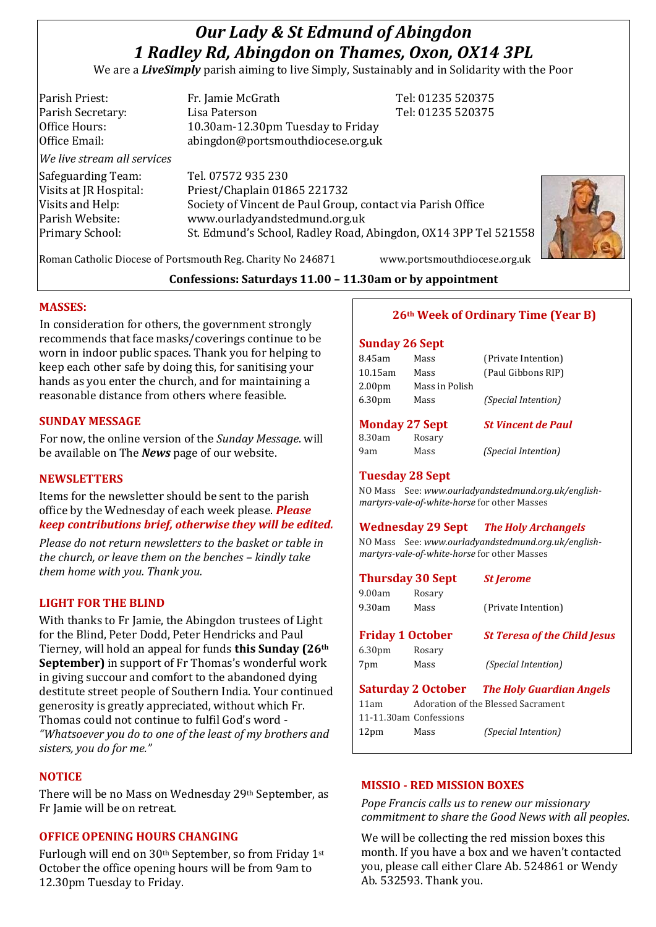# *Our Lady & St Edmund of Abingdon 1 Radley Rd, Abingdon on Thames, Oxon, OX14 3PL*

We are a *LiveSimply* parish aiming to live Simply, Sustainably and in Solidarity with the Poor

| Parish Priest:<br>Parish Secretary:<br>Office Hours:                                                   | Fr. Jamie McGrath<br>Lisa Paterson<br>10.30am-12.30pm Tuesday to Friday                                                                                                                                               | Tel: 01235 520375<br>Tel: 01235 520375 |  |
|--------------------------------------------------------------------------------------------------------|-----------------------------------------------------------------------------------------------------------------------------------------------------------------------------------------------------------------------|----------------------------------------|--|
| Office Email:                                                                                          | abingdon@portsmouthdiocese.org.uk                                                                                                                                                                                     |                                        |  |
| We live stream all services                                                                            |                                                                                                                                                                                                                       |                                        |  |
| Safeguarding Team:<br>Visits at JR Hospital:<br>Visits and Help:<br>Parish Website:<br>Primary School: | Tel. 07572 935 230<br>Priest/Chaplain 01865 221732<br>Society of Vincent de Paul Group, contact via Parish Office<br>www.ourladyandstedmund.org.uk<br>St. Edmund's School, Radley Road, Abingdon, OX14 3PP Tel 521558 |                                        |  |

Roman Catholic Diocese of Portsmouth Reg. Charity No 246871 www.portsmouthdiocese.org.uk

# **Confessions: Saturdays 11.00 – 11.30am or by appointment**

## **MASSES:**

In consideration for others, the government strongly recommends that face masks/coverings continue to be worn in indoor public spaces. Thank you for helping to keep each other safe by doing this, for sanitising your hands as you enter the church, and for maintaining a reasonable distance from others where feasible.

# **SUNDAY MESSAGE**

For now, the online version of the *Sunday Message*. will be available on The *News* page of our website.

## **NEWSLETTERS**

Items for the newsletter should be sent to the parish office by the Wednesday of each week please. *Please keep contributions brief, otherwise they will be edited.*

*Please do not return newsletters to the basket or table in the church, or leave them on the benches – kindly take them home with you. Thank you.*

# **LIGHT FOR THE BLIND**

With thanks to Fr Jamie, the Abingdon trustees of Light for the Blind, Peter Dodd, Peter Hendricks and Paul Tierney, will hold an appeal for funds **this Sunday (26th September)** in support of Fr Thomas's wonderful work in giving succour and comfort to the abandoned dying destitute street people of Southern India. Your continued generosity is greatly appreciated, without which Fr. Thomas could not continue to fulfil God's word - *"Whatsoever you do to one of the least of my brothers and sisters, you do for me."*

# **NOTICE**

There will be no Mass on Wednesday 29th September, as Fr Jamie will be on retreat.

# **OFFICE OPENING HOURS CHANGING**

Furlough will end on 30th September, so from Friday 1st October the office opening hours will be from 9am to 12.30pm Tuesday to Friday.

# **26th Week of Ordinary Time (Year B)**

#### **Sunday 26 Sept**

| 8.45am                | Mass           | (Private Intention)        |
|-----------------------|----------------|----------------------------|
| $10.15$ am            | Mass           | (Paul Gibbons RIP)         |
| 2.00 <sub>pm</sub>    | Mass in Polish |                            |
| 6.30 <sub>pm</sub>    | Mass           | <i>(Special Intention)</i> |
|                       |                |                            |
|                       |                |                            |
| <b>Monday 27 Sept</b> |                | <b>St Vincent de Paul</b>  |
| 8.30am                | Rosary         |                            |
| 9am                   | Mass           | <i>(Special Intention)</i> |

## **Tuesday 28 Sept**

NO Mass See: *www.ourladyandstedmund.org.uk/englishmartyrs-vale-of-white-horse* for other Masses

## **Wednesday 29 Sept** *The Holy Archangels*

NO Mass See: *www.ourladyandstedmund.org.uk/englishmartyrs-vale-of-white-horse* for other Masses

| <b>Thursday 30 Sept</b> |                        | <b>St Jerome</b>                                   |
|-------------------------|------------------------|----------------------------------------------------|
| 9.00am                  | Rosary                 |                                                    |
| $9.30$ am               | Mass                   | (Private Intention)                                |
| <b>Friday 1 October</b> |                        | <b>St Teresa of the Child Jesus</b>                |
| 6.30 <sub>pm</sub>      | Rosary                 |                                                    |
| 7pm                     | Mass                   | <i>(Special Intention)</i>                         |
|                         |                        | <b>Saturday 2 October</b> The Holy Guardian Angels |
| 11am                    |                        | Adoration of the Blessed Sacrament                 |
|                         | 11-11.30am Confessions |                                                    |
| 12 <sub>pm</sub>        | Mass                   | (Special Intention)                                |

# **MISSIO - RED MISSION BOXES**

*Pope Francis calls us to renew our missionary commitment to share the Good News with all peoples*.

We will be collecting the red mission boxes this month. If you have a box and we haven't contacted you, please call either Clare Ab. 524861 or Wendy Ab. 532593. Thank you.